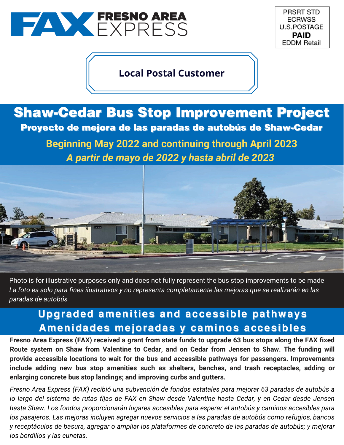



## **Local Postal Customer**

## Shaw-Cedar Bus Stop Improvement Project Proyecto de mejora de las paradas de autobús de Shaw-Cedar

**Beginning May 2022 and continuing through April 2023** *A partir de mayo de 2022 y hasta abril de 2023*



Photo is for illustrative purposes only and does not fully represent the bus stop improvements to be made *La foto es solo para fines ilustrativos y no representa completamente las mejoras que se realizarán en las paradas de autobús*

## **Upgraded amenities and accessible pathways Amenidades mejoradas y caminos accesibles**

**Fresno Area Express (FAX) received a grant from state funds to upgrade 63 bus stops along the FAX fixed Route system on Shaw from Valentine to Cedar, and on Cedar from Jensen to Shaw. The funding will provide accessible locations to wait for the bus and accessible pathways for passengers. Improvements include adding new bus stop amenities such as shelters, benches, and trash receptacles, adding or enlarging concrete bus stop landings; and improving curbs and gutters.**

*Fresno Area Express (FAX) recibió una subvención de fondos estatales para mejorar 63 paradas de autobús a lo largo del sistema de rutas fijas de FAX en Shaw desde Valentine hasta Cedar, y en Cedar desde Jensen hasta Shaw. Los fondos proporcionarán lugares accesibles para esperar el autobús y caminos accesibles para los pasajeros. Las mejoras incluyen agregar nuevos servicios a las paradas de autobús como refugios, bancos y receptáculos de basura, agregar o ampliar los plataformes de concreto de las paradas de autobús; y mejorar los bordillos y las cunetas.*